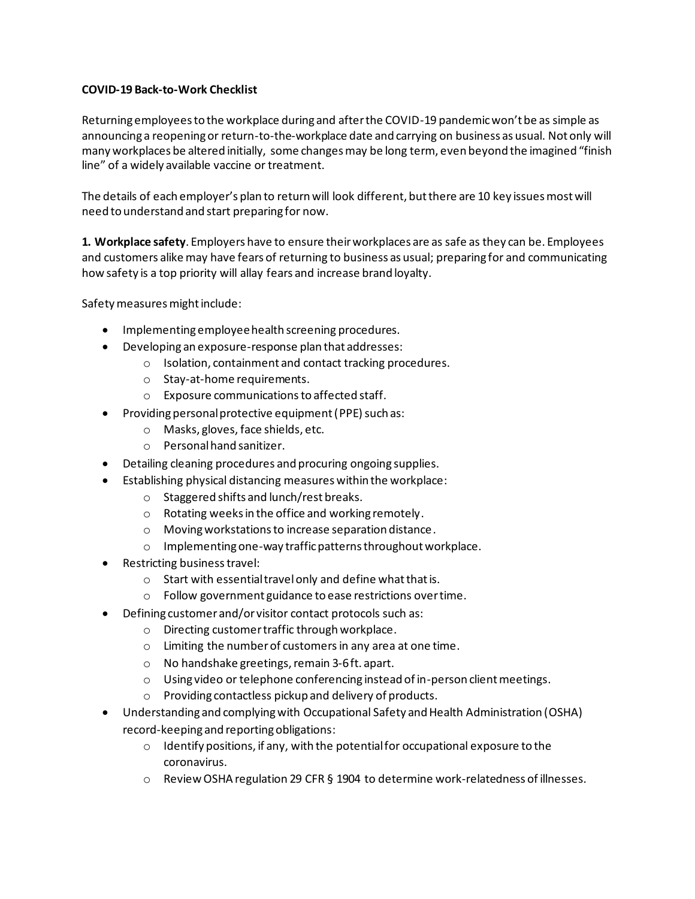## **COVID-19 Back-to-Work Checklist**

Returning employees to the workplace during and after the COVID-19 pandemic won't be as simple as announcing a reopening or return-to-the-workplace date and carrying on business as usual. Not only will many workplaces be altered initially, some changes may be long term, even beyond the imagined "finish line" of a widely available vaccine or treatment.

The details of each employer's plan to return will look different, but there are 10 key issues most will need to understand and start preparing for now.

**1. Workplace safety**. Employers have to ensure their workplaces are as safe as they can be. Employees and customers alike may have fears of returning to business as usual; preparing for and communicating how safety is a top priority will allay fears and increase brand loyalty.

Safety measures might include:

- Implementing employee health screening procedures.
- Developing an exposure-response plan that addresses:
	- o Isolation, containment and contact tracking procedures.
	- o Stay-at-home requirements.
	- o Exposure communicationsto affected staff.
- Providing personal protective equipment (PPE) such as:
	- o Masks, gloves, face shields, etc.
	- o Personal hand sanitizer.
- Detailing cleaning procedures and procuring ongoing supplies.
- Establishing physical distancing measures within the workplace:
	- o Staggered shifts and lunch/rest breaks.
	- o Rotating weeks in the office and working remotely.
	- o Moving workstations to increase separation distance.
	- o Implementing one-way traffic patterns throughout workplace.
- Restricting business travel:
	- o Start with essential travelonly and define what that is.
	- o Follow government guidance to ease restrictions over time.
- Defining customer and/or visitor contact protocols such as:
	- o Directing customer traffic through workplace.
	- o Limiting the number of customers in any area at one time.
	- o No handshake greetings, remain 3-6 ft. apart.
	- o Using video or telephone conferencing instead of in-person client meetings.
	- o Providing contactless pickup and delivery of products.
- Understanding and complying with Occupational Safety and Health Administration (OSHA) record-keeping and reporting obligations:
	- o Identify positions, if any, with the potential for occupational exposure to the coronavirus.
	- o Review OSHA regulation 29 CFR § 1904 to determine work-relatedness of illnesses.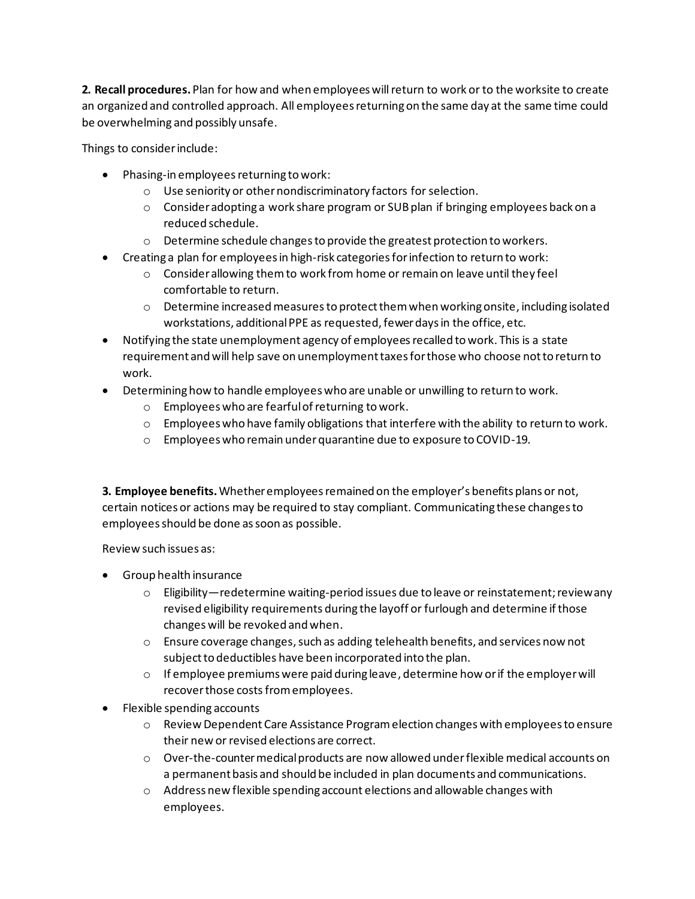**2. Recall procedures.** Plan for how and when employees will return to work or to the worksite to create an organized and controlled approach. All employees returning on the same day at the same time could be overwhelming and possibly unsafe.

Things to consider include:

- Phasing-in employees returning to work:
	- o Use seniority or other nondiscriminatory factors for selection.
	- $\circ$  Consider adopting a work share program or SUB plan if bringing employees back on a reduced schedule.
	- o Determine schedule changesto provide the greatest protection to workers.
- Creating a plan for employees in high-risk categories for infection to return to work:
	- o Consider allowing them to work from home or remain on leave until they feel comfortable to return.
	- $\circ$  Determine increased measures to protect them when working onsite, including isolated workstations, additional PPE as requested, fewer days in the office, etc.
- Notifying the state unemployment agency of employees recalled to work. This is a state requirement and will help save on unemployment taxes for those who choose not to return to work.
- Determining how to handle employees who are unable or unwilling to return to work.
	- o Employees who are fearful of returning to work.
	- $\circ$  Employees who have family obligations that interfere with the ability to return to work.
	- o Employees who remain under quarantine due to exposure to COVID-19.

**3. Employee benefits.** Whether employees remained on the employer's benefits plans or not, certain notices or actions may be required to stay compliant. Communicating these changes to employees should be done as soon as possible.

Review such issues as:

- Group health insurance
	- o Eligibility—redetermine waiting-period issues due to leave or reinstatement; review any revised eligibility requirements during the layoff or furlough and determine if those changes will be revoked and when.
	- $\circ$  Ensure coverage changes, such as adding telehealth benefits, and services now not subject to deductibles have been incorporated into the plan.
	- $\circ$  If employee premiums were paid during leave, determine how or if the employer will recover those costs from employees.
- Flexible spending accounts
	- o Review Dependent Care Assistance Programelection changes with employees to ensure their new or revised elections are correct.
	- $\circ$  Over-the-counter medical products are now allowed under flexible medical accounts on a permanent basis and should be included in plan documents and communications.
	- o Address new flexible spending account elections and allowable changes with employees.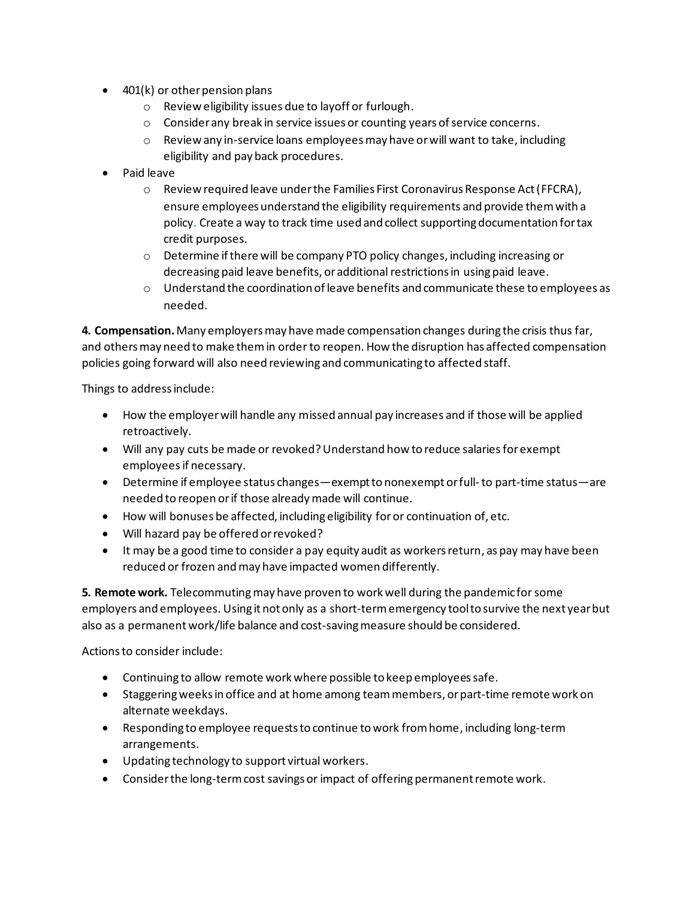- 401(k) or other pension plans
	- o Review eligibility issues due to layoff or furlough.
	- $\circ$  Consider any break in service issues or counting years of service concerns.
	- $\circ$  Review any in-service loans employees may have or will want to take, including eligibility and pay back procedures.
- Paid leave
	- $\circ$  Review required leave under the Families First Coronavirus Response Act (FFCRA), ensure employees understand the eligibility requirements and provide them with a policy. Create a way to track time used and collect supporting documentation for tax credit purposes.
	- o Determine if there will be company PTO policy changes, including increasing or decreasing paid leave benefits, or additional restrictions in using paid leave.
	- $\circ$  Understand the coordination of leave benefits and communicate these to employees as needed.

**4. Compensation.** Many employers may have made compensation changes during the crisis thus far, and others may need to make them in order to reopen. How the disruption has affected compensation policies going forward will also need reviewing and communicating to affected staff.

Things to address include:

- How the employer will handle any missed annual pay increases and if those will be applied retroactively.
- Will any pay cuts be made or revoked? Understand how to reduce salaries for exempt employeesif necessary.
- Determine if employee status changes—exempt to nonexempt or full-to part-time status—are needed to reopen or if those already made will continue.
- How will bonuses be affected, including eligibility foror continuation of, etc.
- Will hazard pay be offered or revoked?
- It may be a good time to consider a pay equity audit as workers return, as pay may have been reduced or frozen and may have impacted women differently.

**5. Remote work.** Telecommuting may have proven to work well during the pandemic for some employers and employees. Using it not only as a short-termemergency tool to survive the next year but also as a permanent work/life balance and cost-saving measure should be considered.

Actions to consider include:

- Continuing to allow remote work where possible to keep employees safe.
- Staggeringweeks in office and at home among team members, or part-time remote work on alternate weekdays.
- Responding to employee requests to continue to work from home, including long-term arrangements.
- Updating technology to support virtual workers.
- Consider the long-term cost savings or impact of offering permanent remote work.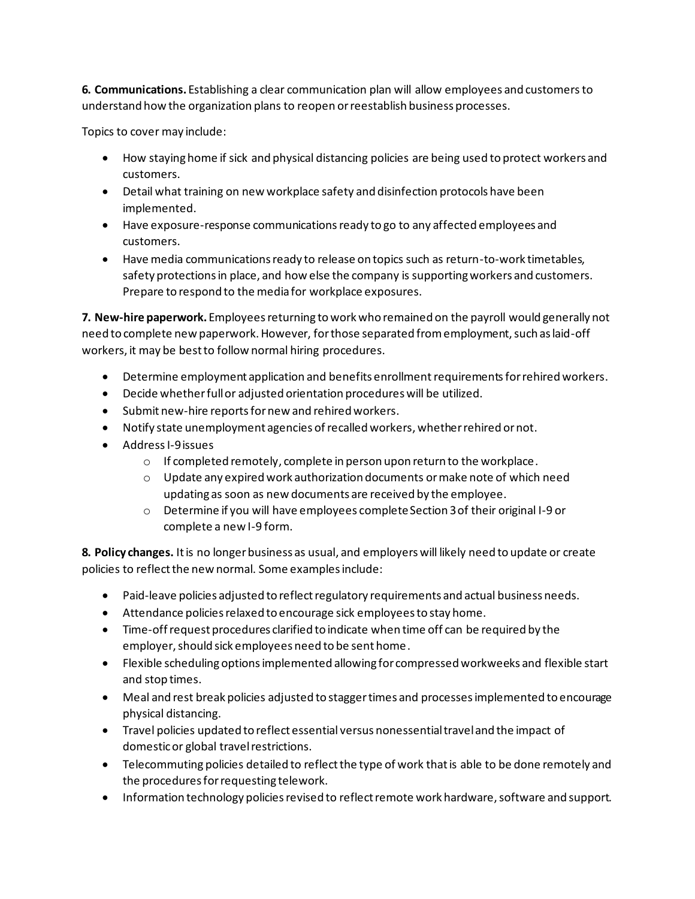**6. Communications.** Establishing a clear communication plan will allow employees and customers to understand how the organization plans to reopen or reestablish business processes.

Topics to cover may include:

- How staying home if sick and physical distancing policies are being used to protect workers and customers.
- Detail what training on new workplace safety and disinfection protocols have been implemented.
- Have exposure-response communications ready to go to any affected employees and customers.
- Have media communications ready to release on topics such as return-to-work timetables, safety protections in place, and how else the company is supporting workers and customers. Prepare to respond to the media for workplace exposures.

**7. New-hire paperwork.** Employees returning to work who remained on the payroll would generally not need to complete new paperwork. However, for those separated from employment, such as laid-off workers, it may be best to follow normal hiring procedures.

- Determine employment application and benefits enrollment requirementsfor rehired workers.
- Decide whether full or adjusted orientation procedures will be utilized.
- Submit new-hire reports for new and rehired workers.
- Notify state unemployment agencies ofrecalled workers, whether rehired or not.
- Address I-9issues
	- o If completed remotely, complete in person upon return to the workplace.
	- o Update any expired work authorization documents or make note of which need updating as soon as new documents are received by the employee.
	- o Determine if you will have employees complete Section 3 of their original I-9 or complete a new I-9 form.

**8. Policy changes.** It is no longer business as usual, and employers will likely need to update or create policies to reflect the new normal. Some examples include:

- Paid-leave policies adjusted to reflect regulatory requirements and actual business needs.
- Attendance policies relaxed to encourage sick employees to stay home.
- Time-off request procedures clarified to indicate when time off can be required by the employer, should sick employees need to be sent home.
- Flexible scheduling options implemented allowing for compressed workweeks and flexible start and stop times.
- Meal and rest break policies adjusted to stagger times and processes implemented to encourage physical distancing.
- Travel policies updated to reflect essential versus nonessential travel and the impact of domestic or global travel restrictions.
- Telecommuting policies detailed to reflect the type of work that is able to be done remotely and the procedures for requesting telework.
- Information technology policies revised to reflect remote work hardware, software and support.